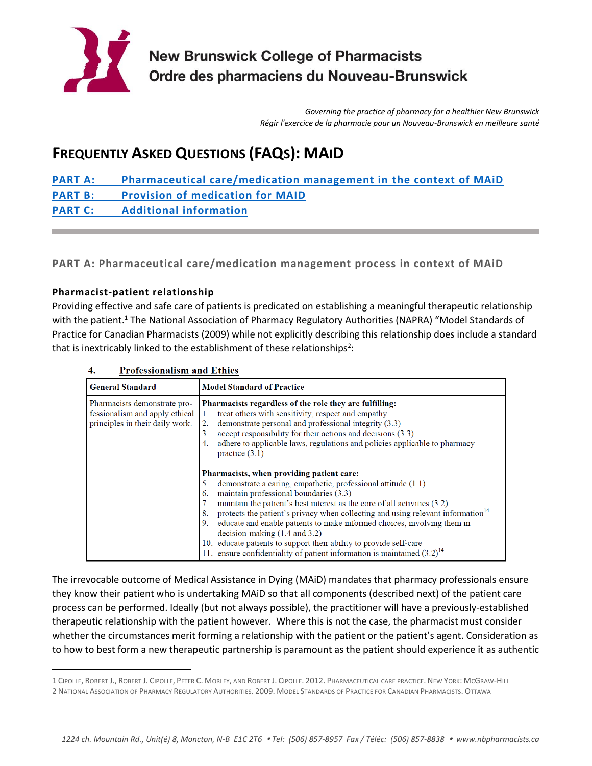

*Governing the practice of pharmacy for a healthier New Brunswick Régir l'exercice de la pharmacie pour un Nouveau-Brunswick en meilleure santé*

# **FREQUENTLY ASKED QUESTIONS (FAQS): MAID**

**[PART A: Pharmaceutical care/medication management in the context of MAiD](#page-0-0) [PART B: Provision of](#page-3-0) medication for MAID [PART C: Additional](#page-5-0) information**

<span id="page-0-0"></span>**PART A: Pharmaceutical care/medication management process in context of MAiD**

# **Pharmacist-patient relationship**

 $\overline{\phantom{a}}$ 

Providing effective and safe care of patients is predicated on establishing a meaningful therapeutic relationship with the patient.<sup>1</sup> The National Association of Pharmacy Regulatory Authorities (NAPRA) "Model Standards of Practice for Canadian Pharmacists (2009) while not explicitly describing this relationship does include a standard that is inextricably linked to the establishment of these relationships<sup>2</sup>:

| <b>General Standard</b>                                                                           | <b>Model Standard of Practice</b>                                                                                                                                                                                                                                                                                                                                                                                                                                                                                                                                                                                             |
|---------------------------------------------------------------------------------------------------|-------------------------------------------------------------------------------------------------------------------------------------------------------------------------------------------------------------------------------------------------------------------------------------------------------------------------------------------------------------------------------------------------------------------------------------------------------------------------------------------------------------------------------------------------------------------------------------------------------------------------------|
| Pharmacists demonstrate pro-<br>fessionalism and apply ethical<br>principles in their daily work. | Pharmacists regardless of the role they are fulfilling:<br>treat others with sensitivity, respect and empathy<br>demonstrate personal and professional integrity (3.3)<br>2.<br>accept responsibility for their actions and decisions (3.3)<br>3.<br>adhere to applicable laws, regulations and policies applicable to pharmacy<br>practice $(3.1)$                                                                                                                                                                                                                                                                           |
|                                                                                                   | Pharmacists, when providing patient care:<br>demonstrate a caring, empathetic, professional attitude (1.1)<br>5.<br>maintain professional boundaries (3.3)<br>6.<br>maintain the patient's best interest as the core of all activities (3.2)<br>protects the patient's privacy when collecting and using relevant information <sup>14</sup><br>8<br>educate and enable patients to make informed choices, involving them in<br>9.<br>$decision-making (1.4 and 3.2)$<br>educate patients to support their ability to provide self-care<br>10.<br>11. ensure confidentiality of patient information is maintained $(3.2)^{14}$ |

 $\overline{\mathbf{4}}$ . **Professionalism and Ethics** 

The irrevocable outcome of Medical Assistance in Dying (MAiD) mandates that pharmacy professionals ensure they know their patient who is undertaking MAiD so that all components (described next) of the patient care process can be performed. Ideally (but not always possible), the practitioner will have a previously-established therapeutic relationship with the patient however. Where this is not the case, the pharmacist must consider whether the circumstances merit forming a relationship with the patient or the patient's agent. Consideration as to how to best form a new therapeutic partnership is paramount as the patient should experience it as authentic

<sup>1</sup> CIPOLLE, ROBERT J., ROBERT J. CIPOLLE, PETER C. MORLEY, AND ROBERT J. CIPOLLE. 2012. PHARMACEUTICAL CARE PRACTICE. NEW YORK: MCGRAW-HILL 2 NATIONAL ASSOCIATION OF PHARMACY REGULATORY AUTHORITIES. 2009. MODEL STANDARDS OF PRACTICE FOR CANADIAN PHARMACISTS. OTTAWA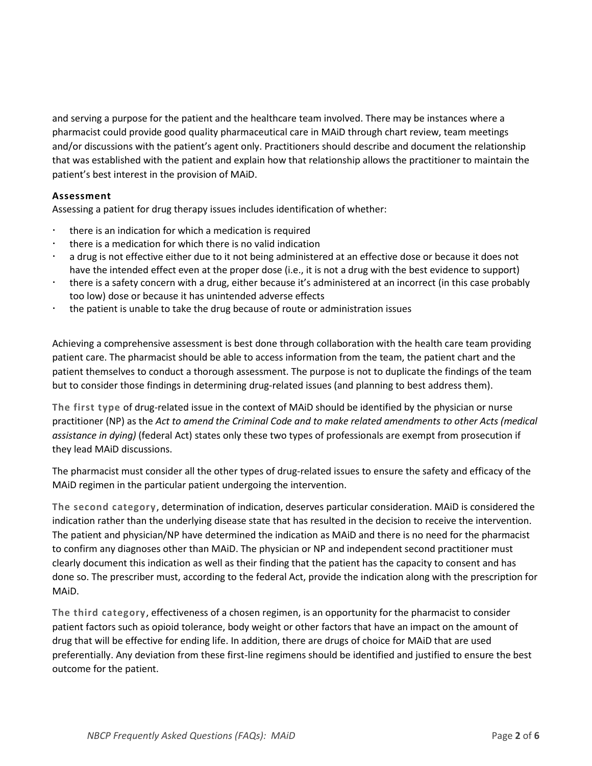and serving a purpose for the patient and the healthcare team involved. There may be instances where a pharmacist could provide good quality pharmaceutical care in MAiD through chart review, team meetings and/or discussions with the patient's agent only. Practitioners should describe and document the relationship that was established with the patient and explain how that relationship allows the practitioner to maintain the patient's best interest in the provision of MAiD.

## **Assessment**

Assessing a patient for drug therapy issues includes identification of whether:

- there is an indication for which a medication is required
- there is a medication for which there is no valid indication
- a drug is not effective either due to it not being administered at an effective dose or because it does not have the intended effect even at the proper dose (i.e., it is not a drug with the best evidence to support)
- there is a safety concern with a drug, either because it's administered at an incorrect (in this case probably too low) dose or because it has unintended adverse effects
- the patient is unable to take the drug because of route or administration issues

Achieving a comprehensive assessment is best done through collaboration with the health care team providing patient care. The pharmacist should be able to access information from the team, the patient chart and the patient themselves to conduct a thorough assessment. The purpose is not to duplicate the findings of the team but to consider those findings in determining drug-related issues (and planning to best address them).

**The first type** of drug-related issue in the context of MAiD should be identified by the physician or nurse practitioner (NP) as the *Act to amend the Criminal Code and to make related amendments to other Acts (medical assistance in dying)* (federal Act) states only these two types of professionals are exempt from prosecution if they lead MAiD discussions.

The pharmacist must consider all the other types of drug-related issues to ensure the safety and efficacy of the MAiD regimen in the particular patient undergoing the intervention.

**The second category**, determination of indication, deserves particular consideration. MAiD is considered the indication rather than the underlying disease state that has resulted in the decision to receive the intervention. The patient and physician/NP have determined the indication as MAiD and there is no need for the pharmacist to confirm any diagnoses other than MAiD. The physician or NP and independent second practitioner must clearly document this indication as well as their finding that the patient has the capacity to consent and has done so. The prescriber must, according to the federal Act, provide the indication along with the prescription for MAiD.

**The third category**, effectiveness of a chosen regimen, is an opportunity for the pharmacist to consider patient factors such as opioid tolerance, body weight or other factors that have an impact on the amount of drug that will be effective for ending life. In addition, there are drugs of choice for MAiD that are used preferentially. Any deviation from these first-line regimens should be identified and justified to ensure the best outcome for the patient.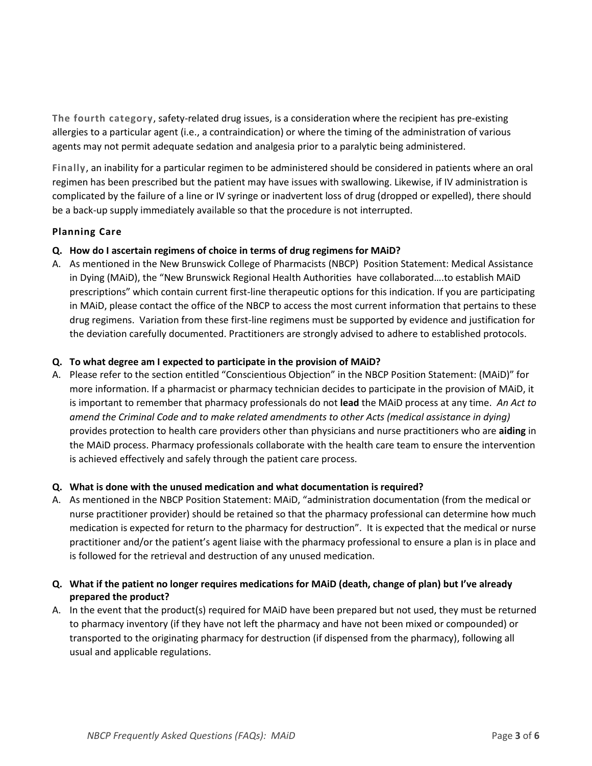**The fourth category**, safety-related drug issues, is a consideration where the recipient has pre-existing allergies to a particular agent (i.e., a contraindication) or where the timing of the administration of various agents may not permit adequate sedation and analgesia prior to a paralytic being administered.

**Finally**, an inability for a particular regimen to be administered should be considered in patients where an oral regimen has been prescribed but the patient may have issues with swallowing. Likewise, if IV administration is complicated by the failure of a line or IV syringe or inadvertent loss of drug (dropped or expelled), there should be a back-up supply immediately available so that the procedure is not interrupted.

# **Planning Care**

# **Q. How do I ascertain regimens of choice in terms of drug regimens for MAiD?**

A. As mentioned in the New Brunswick College of Pharmacists (NBCP) Position Statement: Medical Assistance in Dying (MAiD), the "New Brunswick Regional Health Authorities have collaborated….to establish MAiD prescriptions" which contain current first-line therapeutic options for this indication. If you are participating in MAiD, please contact the office of the NBCP to access the most current information that pertains to these drug regimens. Variation from these first-line regimens must be supported by evidence and justification for the deviation carefully documented. Practitioners are strongly advised to adhere to established protocols.

# **Q. To what degree am I expected to participate in the provision of MAiD?**

A. Please refer to the section entitled "Conscientious Objection" in the NBCP Position Statement: (MAiD)" for more information. If a pharmacist or pharmacy technician decides to participate in the provision of MAiD, it is important to remember that pharmacy professionals do not **lead** the MAiD process at any time. *An Act to amend the Criminal Code and to make related amendments to other Acts (medical assistance in dying)* provides protection to health care providers other than physicians and nurse practitioners who are **aiding** in the MAiD process. Pharmacy professionals collaborate with the health care team to ensure the intervention is achieved effectively and safely through the patient care process.

# **Q. What is done with the unused medication and what documentation is required?**

- A. As mentioned in the NBCP Position Statement: MAiD, "administration documentation (from the medical or nurse practitioner provider) should be retained so that the pharmacy professional can determine how much medication is expected for return to the pharmacy for destruction". It is expected that the medical or nurse practitioner and/or the patient's agent liaise with the pharmacy professional to ensure a plan is in place and is followed for the retrieval and destruction of any unused medication.
- **Q. What if the patient no longer requires medications for MAiD (death, change of plan) but I've already prepared the product?**
- A. In the event that the product(s) required for MAiD have been prepared but not used, they must be returned to pharmacy inventory (if they have not left the pharmacy and have not been mixed or compounded) or transported to the originating pharmacy for destruction (if dispensed from the pharmacy), following all usual and applicable regulations.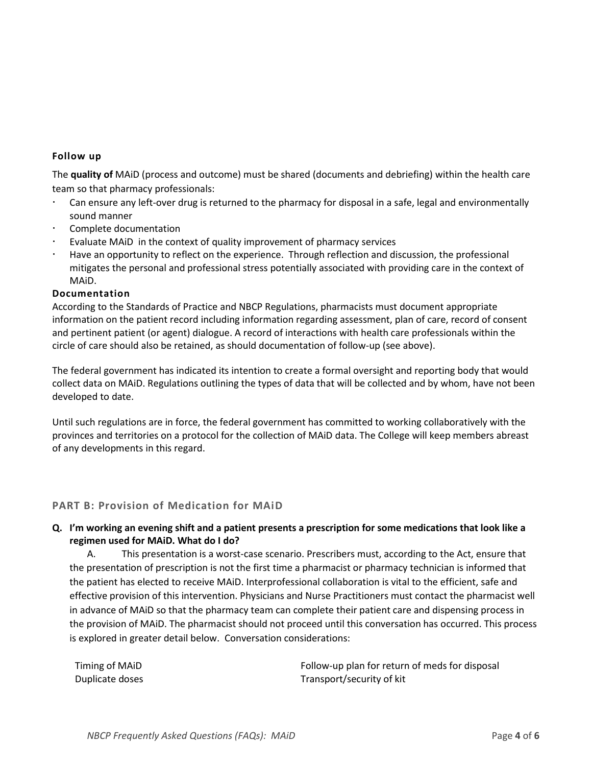#### **Follow up**

The **quality of** MAiD (process and outcome) must be shared (documents and debriefing) within the health care team so that pharmacy professionals:

- Can ensure any left-over drug is returned to the pharmacy for disposal in a safe, legal and environmentally sound manner
- Complete documentation
- Evaluate MAiD in the context of quality improvement of pharmacy services
- Have an opportunity to reflect on the experience. Through reflection and discussion, the professional mitigates the personal and professional stress potentially associated with providing care in the context of MAiD.

#### **Documentation**

According to the Standards of Practice and NBCP Regulations, pharmacists must document appropriate information on the patient record including information regarding assessment, plan of care, record of consent and pertinent patient (or agent) dialogue. A record of interactions with health care professionals within the circle of care should also be retained, as should documentation of follow-up (see above).

The federal government has indicated its intention to create a formal oversight and reporting body that would collect data on MAiD. Regulations outlining the types of data that will be collected and by whom, have not been developed to date.

Until such regulations are in force, the federal government has committed to working collaboratively with the provinces and territories on a protocol for the collection of MAiD data. The College will keep members abreast of any developments in this regard.

#### <span id="page-3-0"></span>**PART B: Provision of Medication for MAiD**

## **Q. I'm working an evening shift and a patient presents a prescription for some medications that look like a regimen used for MAiD. What do I do?**

A. This presentation is a worst-case scenario. Prescribers must, according to the Act, ensure that the presentation of prescription is not the first time a pharmacist or pharmacy technician is informed that the patient has elected to receive MAiD. Interprofessional collaboration is vital to the efficient, safe and effective provision of this intervention. Physicians and Nurse Practitioners must contact the pharmacist well in advance of MAiD so that the pharmacy team can complete their patient care and dispensing process in the provision of MAiD. The pharmacist should not proceed until this conversation has occurred. This process is explored in greater detail below. Conversation considerations:

| Timing of MAID  | Follow-up plan for return of meds for disposal |
|-----------------|------------------------------------------------|
| Duplicate doses | Transport/security of kit                      |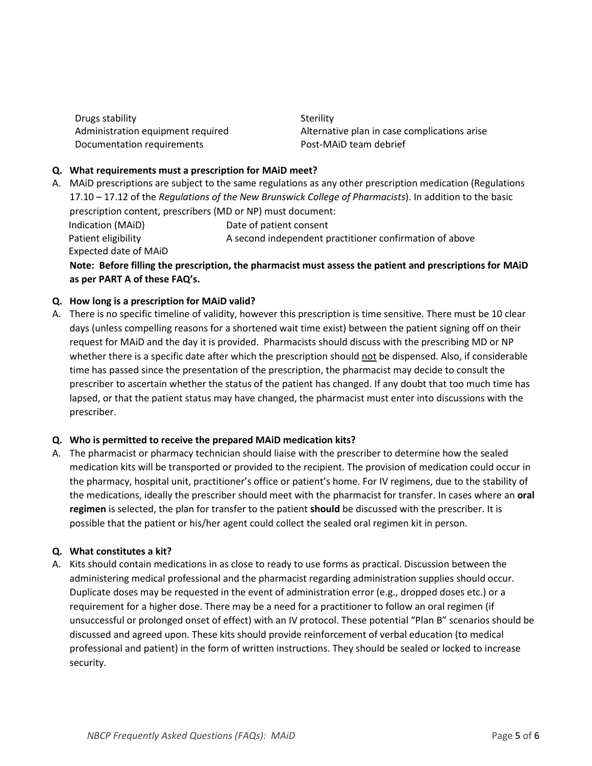Drugs stability Sterility Sterility Documentation requirements Post-MAiD team debrief

Administration equipment required Alternative plan in case complications arise

## **Q. What requirements must a prescription for MAiD meet?**

A. MAiD prescriptions are subject to the same regulations as any other prescription medication (Regulations 17.10 – 17.12 of the *Regulations of the New Brunswick College of Pharmacists*). In addition to the basic prescription content, prescribers (MD or NP) must document:

Indication (MAiD) Date of patient consent Patient eligibility **A** second independent practitioner confirmation of above Expected date of MAiD

**Note: Before filling the prescription, the pharmacist must assess the patient and prescriptions for MAiD as per PART A of these FAQ's.**

#### **Q. How long is a prescription for MAiD valid?**

A. There is no specific timeline of validity, however this prescription is time sensitive. There must be 10 clear days (unless compelling reasons for a shortened wait time exist) between the patient signing off on their request for MAiD and the day it is provided. Pharmacists should discuss with the prescribing MD or NP whether there is a specific date after which the prescription should not be dispensed. Also, if considerable time has passed since the presentation of the prescription, the pharmacist may decide to consult the prescriber to ascertain whether the status of the patient has changed. If any doubt that too much time has lapsed, or that the patient status may have changed, the pharmacist must enter into discussions with the prescriber.

#### **Q. Who is permitted to receive the prepared MAiD medication kits?**

A. The pharmacist or pharmacy technician should liaise with the prescriber to determine how the sealed medication kits will be transported or provided to the recipient. The provision of medication could occur in the pharmacy, hospital unit, practitioner's office or patient's home. For IV regimens, due to the stability of the medications, ideally the prescriber should meet with the pharmacist for transfer. In cases where an **oral regimen** is selected, the plan for transfer to the patient **should** be discussed with the prescriber. It is possible that the patient or his/her agent could collect the sealed oral regimen kit in person.

#### **Q. What constitutes a kit?**

A. Kits should contain medications in as close to ready to use forms as practical. Discussion between the administering medical professional and the pharmacist regarding administration supplies should occur. Duplicate doses may be requested in the event of administration error (e.g., dropped doses etc.) or a requirement for a higher dose. There may be a need for a practitioner to follow an oral regimen (if unsuccessful or prolonged onset of effect) with an IV protocol. These potential "Plan B" scenarios should be discussed and agreed upon. These kits should provide reinforcement of verbal education (to medical professional and patient) in the form of written instructions. They should be sealed or locked to increase security.